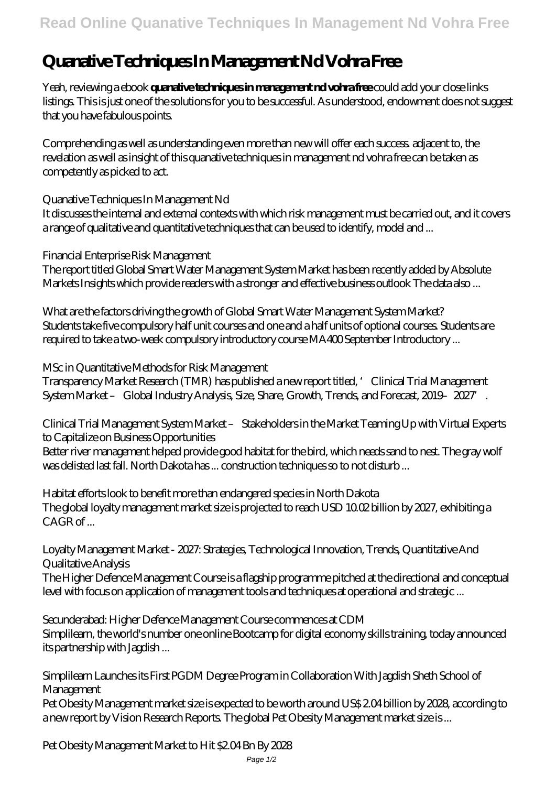## **Quanative Techniques In Management Nd Vohra Free**

Yeah, reviewing a ebook **quanative techniques in management nd vohra free** could add your close links listings. This is just one of the solutions for you to be successful. As understood, endowment does not suggest that you have fabulous points.

Comprehending as well as understanding even more than new will offer each success. adjacent to, the revelation as well as insight of this quanative techniques in management nd vohra free can be taken as competently as picked to act.

Quanative Techniques In Management Nd

It discusses the internal and external contexts with which risk management must be carried out, and it covers a range of qualitative and quantitative techniques that can be used to identify, model and ...

Financial Enterprise Risk Management

The report titled Global Smart Water Management System Market has been recently added by Absolute Markets Insights which provide readers with a stronger and effective business outlook The data also ...

What are the factors driving the growth of Global Smart Water Management System Market? Students take five compulsory half unit courses and one and a half units of optional courses. Students are required to take a two-week compulsory introductory course MA400 September Introductory ...

MSc in Quantitative Methods for Risk Management Transparency Market Research (TMR) has published a new report titled, 'Clinical Trial Management System Market - Global Industry Analysis, Size, Share, Growth, Trends, and Forecast, 2019-2027.

Clinical Trial Management System Market – Stakeholders in the Market Teaming Up with Virtual Experts to Capitalize on Business Opportunities

Better river management helped provide good habitat for the bird, which needs sand to nest. The gray wolf was delisted last fall. North Dakota has ... construction techniques so to not disturb ...

Habitat efforts look to benefit more than endangered species in North Dakota The global loyalty management market size is projected to reach USD 10.02 billion by 2027, exhibiting a  $CAGR$  of

Loyalty Management Market - 2027: Strategies, Technological Innovation, Trends, Quantitative And Qualitative Analysis

The Higher Defence Management Course is a flagship programme pitched at the directional and conceptual level with focus on application of management tools and techniques at operational and strategic ...

Secunderabad: Higher Defence Management Course commences at CDM Simplilearn, the world's number one online Bootcamp for digital economy skills training, today announced its partnership with Jagdish ...

Simplilearn Launches its First PGDM Degree Program in Collaboration With Jagdish Sheth School of Management

Pet Obesity Management market size is expected to be worth around US\$ 2.04 billion by 2028, according to a new report by Vision Research Reports. The global Pet Obesity Management market size is ...

Pet Obesity Management Market to Hit \$2.04 Bn By 2028